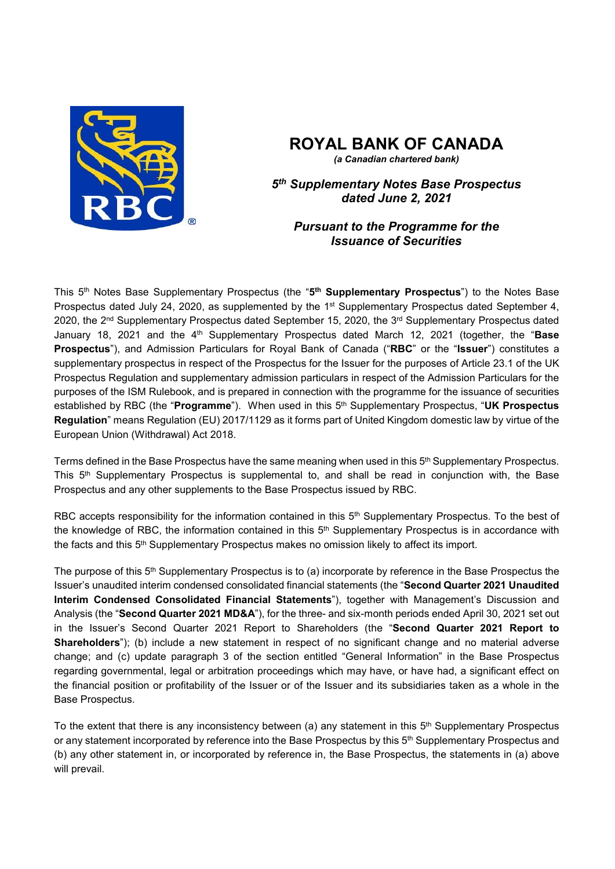

# **ROYAL BANK OF CANADA**

*(a Canadian chartered bank)*

*5 th Supplementary Notes Base Prospectus dated June 2, 2021*

## *Pursuant to the Programme for the Issuance of Securities*

This 5<sup>th</sup> Notes Base Supplementary Prospectus (the "5<sup>th</sup> Supplementary Prospectus") to the Notes Base Prospectus dated July 24, 2020, as supplemented by the 1<sup>st</sup> Supplementary Prospectus dated September 4, 2020, the 2<sup>nd</sup> Supplementary Prospectus dated September 15, 2020, the 3<sup>rd</sup> Supplementary Prospectus dated January 18, 2021 and the 4<sup>th</sup> Supplementary Prospectus dated March 12, 2021 (together, the "Base **Prospectus**"), and Admission Particulars for Royal Bank of Canada ("**RBC**" or the "**Issuer**") constitutes a supplementary prospectus in respect of the Prospectus for the Issuer for the purposes of Article 23.1 of the UK Prospectus Regulation and supplementary admission particulars in respect of the Admission Particulars for the purposes of the ISM Rulebook, and is prepared in connection with the programme for the issuance of securities established by RBC (the "**Programme**"). When used in this 5 th Supplementary Prospectus, "**UK Prospectus Regulation**" means Regulation (EU) 2017/1129 as it forms part of United Kingdom domestic law by virtue of the European Union (Withdrawal) Act 2018.

Terms defined in the Base Prospectus have the same meaning when used in this 5<sup>th</sup> Supplementary Prospectus. This 5 th Supplementary Prospectus is supplemental to, and shall be read in conjunction with, the Base Prospectus and any other supplements to the Base Prospectus issued by RBC.

RBC accepts responsibility for the information contained in this 5<sup>th</sup> Supplementary Prospectus. To the best of the knowledge of RBC, the information contained in this 5<sup>th</sup> Supplementary Prospectus is in accordance with the facts and this 5<sup>th</sup> Supplementary Prospectus makes no omission likely to affect its import.

The purpose of this 5<sup>th</sup> Supplementary Prospectus is to (a) incorporate by reference in the Base Prospectus the Issuer's unaudited interim condensed consolidated financial statements (the "**Second Quarter 2021 Unaudited Interim Condensed Consolidated Financial Statements**"), together with Management's Discussion and Analysis (the "**Second Quarter 2021 MD&A**"), for the three- and six-month periods ended April 30, 2021 set out in the Issuer's Second Quarter 2021 Report to Shareholders (the "**Second Quarter 2021 Report to Shareholders**"); (b) include a new statement in respect of no significant change and no material adverse change; and (c) update paragraph 3 of the section entitled "General Information" in the Base Prospectus regarding governmental, legal or arbitration proceedings which may have, or have had, a significant effect on the financial position or profitability of the Issuer or of the Issuer and its subsidiaries taken as a whole in the Base Prospectus.

To the extent that there is any inconsistency between (a) any statement in this 5<sup>th</sup> Supplementary Prospectus or any statement incorporated by reference into the Base Prospectus by this 5<sup>th</sup> Supplementary Prospectus and (b) any other statement in, or incorporated by reference in, the Base Prospectus, the statements in (a) above will prevail.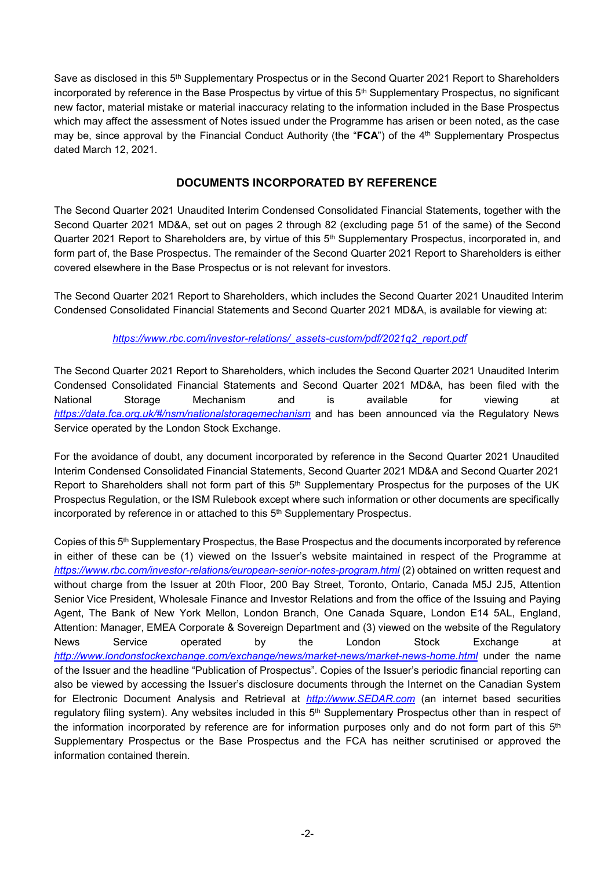Save as disclosed in this 5<sup>th</sup> Supplementary Prospectus or in the Second Quarter 2021 Report to Shareholders incorporated by reference in the Base Prospectus by virtue of this 5 th Supplementary Prospectus, no significant new factor, material mistake or material inaccuracy relating to the information included in the Base Prospectus which may affect the assessment of Notes issued under the Programme has arisen or been noted, as the case may be, since approval by the Financial Conduct Authority (the "**FCA**") of the 4 th Supplementary Prospectus dated March 12, 2021.

## **DOCUMENTS INCORPORATED BY REFERENCE**

The Second Quarter 2021 Unaudited Interim Condensed Consolidated Financial Statements, together with the Second Quarter 2021 MD&A, set out on pages 2 through 82 (excluding page 51 of the same) of the Second Quarter 2021 Report to Shareholders are, by virtue of this 5<sup>th</sup> Supplementary Prospectus, incorporated in, and form part of, the Base Prospectus. The remainder of the Second Quarter 2021 Report to Shareholders is either covered elsewhere in the Base Prospectus or is not relevant for investors.

The Second Quarter 2021 Report to Shareholders, which includes the Second Quarter 2021 Unaudited Interim Condensed Consolidated Financial Statements and Second Quarter 2021 MD&A, is available for viewing at:

#### *https://www.rbc.com/investor-relations/\_assets-custom/pdf/2021q2\_report.pdf*

The Second Quarter 2021 Report to Shareholders, which includes the Second Quarter 2021 Unaudited Interim Condensed Consolidated Financial Statements and Second Quarter 2021 MD&A, has been filed with the National Storage Mechanism and is available for viewing at *https://data.fca.org.uk/#/nsm/nationalstoragemechanism* and has been announced via the Regulatory News Service operated by the London Stock Exchange.

For the avoidance of doubt, any document incorporated by reference in the Second Quarter 2021 Unaudited Interim Condensed Consolidated Financial Statements, Second Quarter 2021 MD&A and Second Quarter 2021 Report to Shareholders shall not form part of this 5<sup>th</sup> Supplementary Prospectus for the purposes of the UK Prospectus Regulation, or the ISM Rulebook except where such information or other documents are specifically incorporated by reference in or attached to this 5<sup>th</sup> Supplementary Prospectus.

Copies of this 5<sup>th</sup> Supplementary Prospectus, the Base Prospectus and the documents incorporated by reference in either of these can be (1) viewed on the Issuer's website maintained in respect of the Programme at *https://www.rbc.com/investor-relations/european-senior-notes-program.html* (2) obtained on written request and without charge from the Issuer at 20th Floor, 200 Bay Street, Toronto, Ontario, Canada M5J 2J5, Attention Senior Vice President, Wholesale Finance and Investor Relations and from the office of the Issuing and Paying Agent, The Bank of New York Mellon, London Branch, One Canada Square, London E14 5AL, England, Attention: Manager, EMEA Corporate & Sovereign Department and (3) viewed on the website of the Regulatory News Service operated by the London Stock Exchange at *http://www.londonstockexchange.com/exchange/news/market-news/market-news-home.html* under the name of the Issuer and the headline "Publication of Prospectus". Copies of the Issuer's periodic financial reporting can also be viewed by accessing the Issuer's disclosure documents through the Internet on the Canadian System for Electronic Document Analysis and Retrieval at *http://www.SEDAR.com* (an internet based securities regulatory filing system). Any websites included in this 5<sup>th</sup> Supplementary Prospectus other than in respect of the information incorporated by reference are for information purposes only and do not form part of this  $5<sup>th</sup>$ Supplementary Prospectus or the Base Prospectus and the FCA has neither scrutinised or approved the information contained therein.